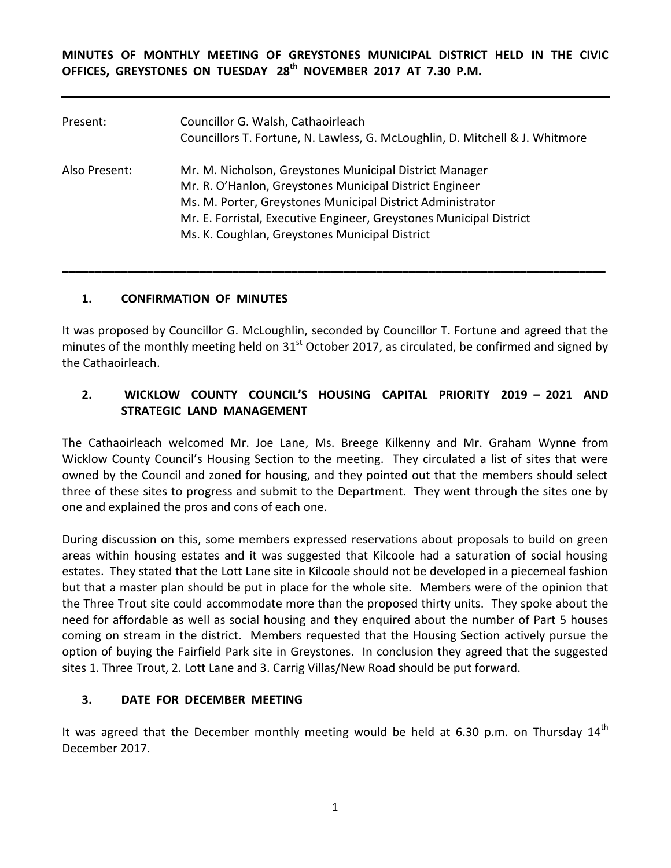**MINUTES OF MONTHLY MEETING OF GREYSTONES MUNICIPAL DISTRICT HELD IN THE CIVIC OFFICES, GREYSTONES ON TUESDAY 28th NOVEMBER 2017 AT 7.30 P.M.** 

| Present:      | Councillor G. Walsh, Cathaoirleach<br>Councillors T. Fortune, N. Lawless, G. McLoughlin, D. Mitchell & J. Whitmore                                                                                                                                                                                        |
|---------------|-----------------------------------------------------------------------------------------------------------------------------------------------------------------------------------------------------------------------------------------------------------------------------------------------------------|
| Also Present: | Mr. M. Nicholson, Greystones Municipal District Manager<br>Mr. R. O'Hanlon, Greystones Municipal District Engineer<br>Ms. M. Porter, Greystones Municipal District Administrator<br>Mr. E. Forristal, Executive Engineer, Greystones Municipal District<br>Ms. K. Coughlan, Greystones Municipal District |

#### **1. CONFIRMATION OF MINUTES**

It was proposed by Councillor G. McLoughlin, seconded by Councillor T. Fortune and agreed that the minutes of the monthly meeting held on  $31<sup>st</sup>$  October 2017, as circulated, be confirmed and signed by the Cathaoirleach.

**\_\_\_\_\_\_\_\_\_\_\_\_\_\_\_\_\_\_\_\_\_\_\_\_\_\_\_\_\_\_\_\_\_\_\_\_\_\_\_\_\_\_\_\_\_\_\_\_\_\_\_\_\_\_\_\_\_\_\_\_\_\_\_\_\_\_\_\_\_\_\_\_\_\_\_\_\_\_\_\_\_\_\_**

## **2. WICKLOW COUNTY COUNCIL'S HOUSING CAPITAL PRIORITY 2019 – 2021 AND STRATEGIC LAND MANAGEMENT**

The Cathaoirleach welcomed Mr. Joe Lane, Ms. Breege Kilkenny and Mr. Graham Wynne from Wicklow County Council's Housing Section to the meeting. They circulated a list of sites that were owned by the Council and zoned for housing, and they pointed out that the members should select three of these sites to progress and submit to the Department. They went through the sites one by one and explained the pros and cons of each one.

During discussion on this, some members expressed reservations about proposals to build on green areas within housing estates and it was suggested that Kilcoole had a saturation of social housing estates. They stated that the Lott Lane site in Kilcoole should not be developed in a piecemeal fashion but that a master plan should be put in place for the whole site. Members were of the opinion that the Three Trout site could accommodate more than the proposed thirty units. They spoke about the need for affordable as well as social housing and they enquired about the number of Part 5 houses coming on stream in the district. Members requested that the Housing Section actively pursue the option of buying the Fairfield Park site in Greystones. In conclusion they agreed that the suggested sites 1. Three Trout, 2. Lott Lane and 3. Carrig Villas/New Road should be put forward.

## **3. DATE FOR DECEMBER MEETING**

It was agreed that the December monthly meeting would be held at 6.30 p.m. on Thursday  $14^{\text{th}}$ December 2017.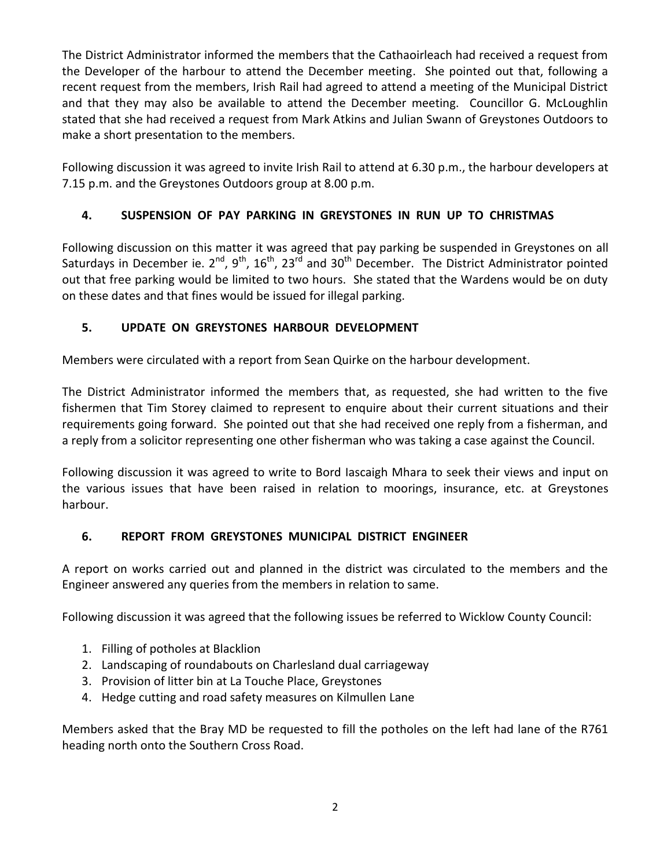The District Administrator informed the members that the Cathaoirleach had received a request from the Developer of the harbour to attend the December meeting. She pointed out that, following a recent request from the members, Irish Rail had agreed to attend a meeting of the Municipal District and that they may also be available to attend the December meeting. Councillor G. McLoughlin stated that she had received a request from Mark Atkins and Julian Swann of Greystones Outdoors to make a short presentation to the members.

Following discussion it was agreed to invite Irish Rail to attend at 6.30 p.m., the harbour developers at 7.15 p.m. and the Greystones Outdoors group at 8.00 p.m.

# **4. SUSPENSION OF PAY PARKING IN GREYSTONES IN RUN UP TO CHRISTMAS**

Following discussion on this matter it was agreed that pay parking be suspended in Greystones on all Saturdays in December ie. 2<sup>nd</sup>, 9<sup>th</sup>, 16<sup>th</sup>, 23<sup>rd</sup> and 30<sup>th</sup> December. The District Administrator pointed out that free parking would be limited to two hours. She stated that the Wardens would be on duty on these dates and that fines would be issued for illegal parking.

## **5. UPDATE ON GREYSTONES HARBOUR DEVELOPMENT**

Members were circulated with a report from Sean Quirke on the harbour development.

The District Administrator informed the members that, as requested, she had written to the five fishermen that Tim Storey claimed to represent to enquire about their current situations and their requirements going forward. She pointed out that she had received one reply from a fisherman, and a reply from a solicitor representing one other fisherman who was taking a case against the Council.

Following discussion it was agreed to write to Bord Iascaigh Mhara to seek their views and input on the various issues that have been raised in relation to moorings, insurance, etc. at Greystones harbour.

## **6. REPORT FROM GREYSTONES MUNICIPAL DISTRICT ENGINEER**

A report on works carried out and planned in the district was circulated to the members and the Engineer answered any queries from the members in relation to same.

Following discussion it was agreed that the following issues be referred to Wicklow County Council:

- 1. Filling of potholes at Blacklion
- 2. Landscaping of roundabouts on Charlesland dual carriageway
- 3. Provision of litter bin at La Touche Place, Greystones
- 4. Hedge cutting and road safety measures on Kilmullen Lane

Members asked that the Bray MD be requested to fill the potholes on the left had lane of the R761 heading north onto the Southern Cross Road.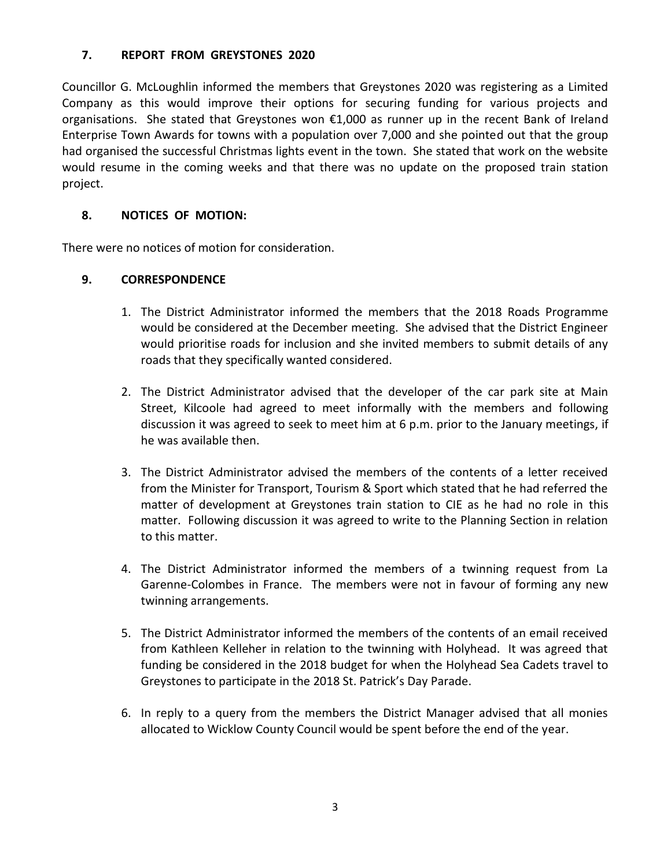#### **7. REPORT FROM GREYSTONES 2020**

Councillor G. McLoughlin informed the members that Greystones 2020 was registering as a Limited Company as this would improve their options for securing funding for various projects and organisations. She stated that Greystones won €1,000 as runner up in the recent Bank of Ireland Enterprise Town Awards for towns with a population over 7,000 and she pointed out that the group had organised the successful Christmas lights event in the town. She stated that work on the website would resume in the coming weeks and that there was no update on the proposed train station project.

### **8. NOTICES OF MOTION:**

There were no notices of motion for consideration.

#### **9. CORRESPONDENCE**

- 1. The District Administrator informed the members that the 2018 Roads Programme would be considered at the December meeting. She advised that the District Engineer would prioritise roads for inclusion and she invited members to submit details of any roads that they specifically wanted considered.
- 2. The District Administrator advised that the developer of the car park site at Main Street, Kilcoole had agreed to meet informally with the members and following discussion it was agreed to seek to meet him at 6 p.m. prior to the January meetings, if he was available then.
- 3. The District Administrator advised the members of the contents of a letter received from the Minister for Transport, Tourism & Sport which stated that he had referred the matter of development at Greystones train station to CIE as he had no role in this matter. Following discussion it was agreed to write to the Planning Section in relation to this matter.
- 4. The District Administrator informed the members of a twinning request from La Garenne-Colombes in France. The members were not in favour of forming any new twinning arrangements.
- 5. The District Administrator informed the members of the contents of an email received from Kathleen Kelleher in relation to the twinning with Holyhead. It was agreed that funding be considered in the 2018 budget for when the Holyhead Sea Cadets travel to Greystones to participate in the 2018 St. Patrick's Day Parade.
- 6. In reply to a query from the members the District Manager advised that all monies allocated to Wicklow County Council would be spent before the end of the year.